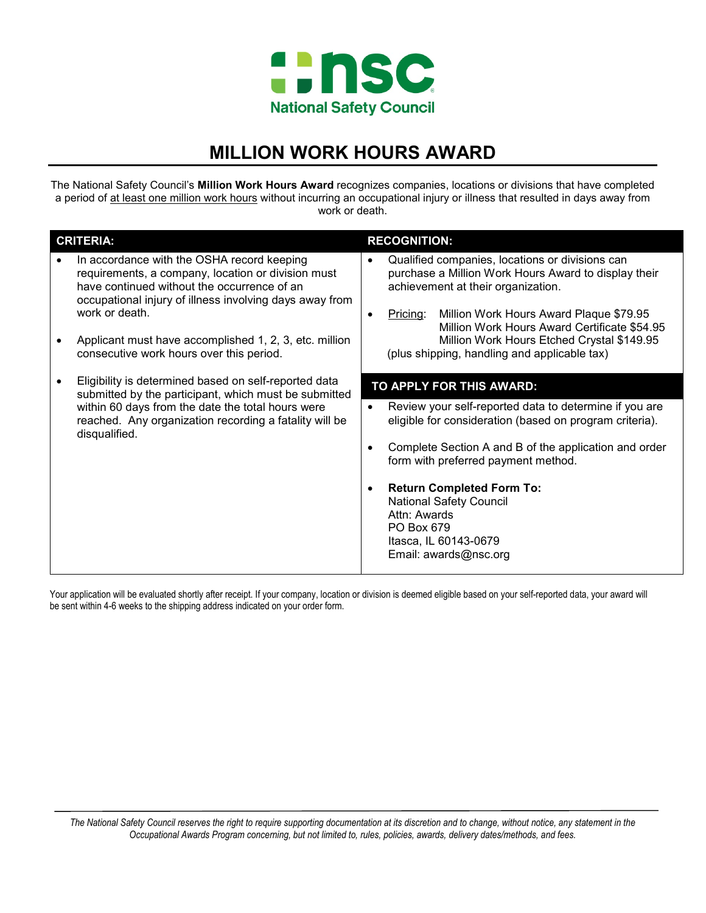

# **MILLION WORK HOURS AWARD**

The National Safety Council's **Million Work Hours Award** recognizes companies, locations or divisions that have completed a period of at least one million work hours without incurring an occupational injury or illness that resulted in days away from work or death.

| <b>CRITERIA:</b> |                                                                                                                                                                                                                                                                                                                                    | <b>RECOGNITION:</b>      |                                                                                                                                                                                                                                                                                                                                                           |  |  |
|------------------|------------------------------------------------------------------------------------------------------------------------------------------------------------------------------------------------------------------------------------------------------------------------------------------------------------------------------------|--------------------------|-----------------------------------------------------------------------------------------------------------------------------------------------------------------------------------------------------------------------------------------------------------------------------------------------------------------------------------------------------------|--|--|
|                  | In accordance with the OSHA record keeping<br>requirements, a company, location or division must<br>have continued without the occurrence of an<br>occupational injury of illness involving days away from<br>work or death.<br>Applicant must have accomplished 1, 2, 3, etc. million<br>consecutive work hours over this period. | $\bullet$                | Qualified companies, locations or divisions can<br>purchase a Million Work Hours Award to display their<br>achievement at their organization.<br>Million Work Hours Award Plaque \$79.95<br><u>Pricing:</u><br>Million Work Hours Award Certificate \$54.95<br>Million Work Hours Etched Crystal \$149.95<br>(plus shipping, handling and applicable tax) |  |  |
|                  | Eligibility is determined based on self-reported data<br>submitted by the participant, which must be submitted<br>within 60 days from the date the total hours were<br>reached. Any organization recording a fatality will be<br>disqualified.                                                                                     | TO APPLY FOR THIS AWARD: |                                                                                                                                                                                                                                                                                                                                                           |  |  |
|                  |                                                                                                                                                                                                                                                                                                                                    | $\bullet$                | Review your self-reported data to determine if you are<br>eligible for consideration (based on program criteria).<br>Complete Section A and B of the application and order<br>form with preferred payment method.                                                                                                                                         |  |  |
|                  |                                                                                                                                                                                                                                                                                                                                    | $\bullet$                | <b>Return Completed Form To:</b><br><b>National Safety Council</b><br>Attn: Awards<br>PO Box 679<br>Itasca, IL 60143-0679<br>Email: awards@nsc.org                                                                                                                                                                                                        |  |  |

Your application will be evaluated shortly after receipt. If your company, location or division is deemed eligible based on your self-reported data, your award will be sent within 4-6 weeks to the shipping address indicated on your order form.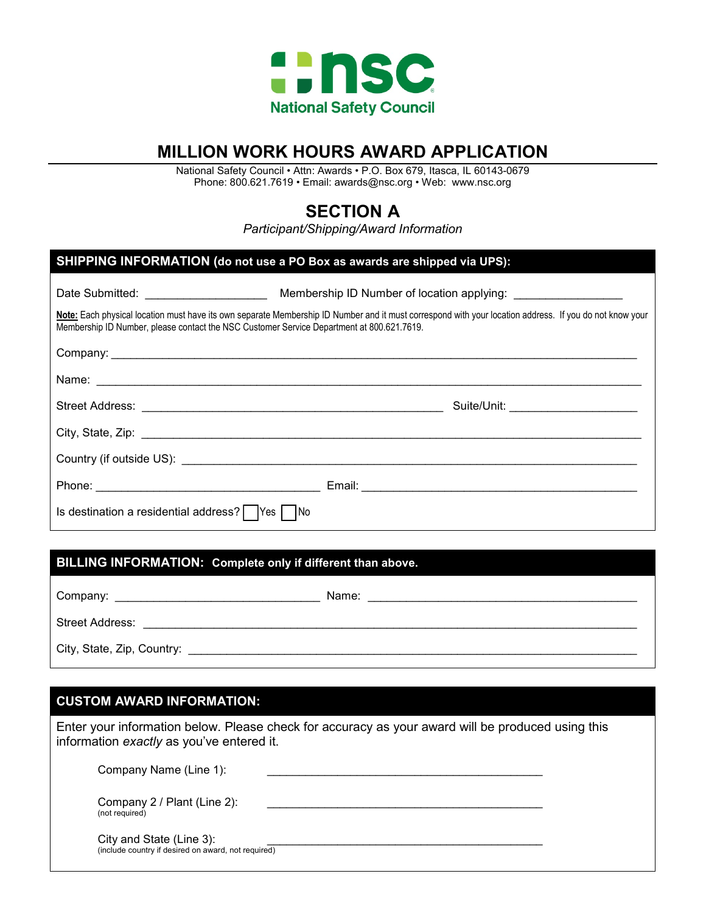

## **MILLION WORK HOURS AWARD APPLICATION**

National Safety Council • Attn: Awards • P.O. Box 679, Itasca, IL 60143-0679 Phone: 800.621.7619 • Email: [awards@nsc.org](mailto:awards@nsc.org) • Web: www.nsc.org

## **SECTION A**

*Participant/Shipping/Award Information*

| SHIPPING INFORMATION (do not use a PO Box as awards are shipped via UPS):                                                                                                                                                                            |                                       |  |  |  |
|------------------------------------------------------------------------------------------------------------------------------------------------------------------------------------------------------------------------------------------------------|---------------------------------------|--|--|--|
|                                                                                                                                                                                                                                                      |                                       |  |  |  |
| Note: Each physical location must have its own separate Membership ID Number and it must correspond with your location address. If you do not know your<br>Membership ID Number, please contact the NSC Customer Service Department at 800.621.7619. |                                       |  |  |  |
|                                                                                                                                                                                                                                                      |                                       |  |  |  |
|                                                                                                                                                                                                                                                      |                                       |  |  |  |
|                                                                                                                                                                                                                                                      | Suite/Unit: _________________________ |  |  |  |
|                                                                                                                                                                                                                                                      |                                       |  |  |  |
|                                                                                                                                                                                                                                                      |                                       |  |  |  |
|                                                                                                                                                                                                                                                      |                                       |  |  |  |
| Is destination a residential address?   Yes   No                                                                                                                                                                                                     |                                       |  |  |  |

## **BILLING INFORMATION: Complete only if different than above.**

| Company:                   | Name: |  |  |  |
|----------------------------|-------|--|--|--|
| <b>Street Address:</b>     |       |  |  |  |
| City, State, Zip, Country: |       |  |  |  |

#### **CUSTOM AWARD INFORMATION:**

Enter your information below. Please check for accuracy as your award will be produced using this information *exactly* as you've entered it.

| Company Name (Line 1):                                                          |  |
|---------------------------------------------------------------------------------|--|
| Company 2 / Plant (Line 2):<br>(not required)                                   |  |
| City and State (Line 3):<br>(include country if desired on award, not required) |  |